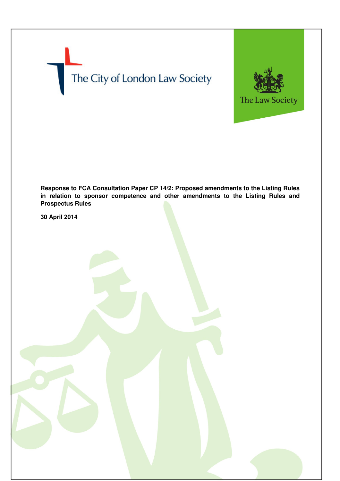# The City of London Law Society



**Response to FCA Consultation Paper CP 14/2: Proposed amendments to the Listing Rules in relation to sponsor competence and other amendments to the Listing Rules and Prospectus Rules** 

**30 April 2014**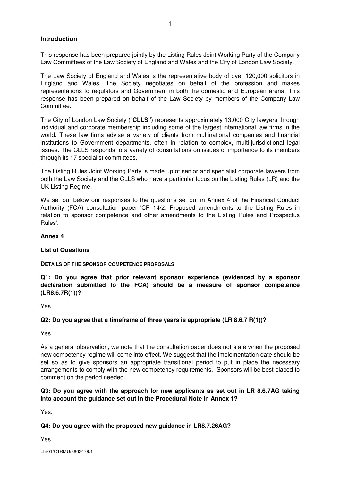# **Introduction**

This response has been prepared jointly by the Listing Rules Joint Working Party of the Company Law Committees of the Law Society of England and Wales and the City of London Law Society.

The Law Society of England and Wales is the representative body of over 120,000 solicitors in England and Wales. The Society negotiates on behalf of the profession and makes representations to regulators and Government in both the domestic and European arena. This response has been prepared on behalf of the Law Society by members of the Company Law **Committee** 

The City of London Law Society ("**CLLS"**) represents approximately 13,000 City lawyers through individual and corporate membership including some of the largest international law firms in the world. These law firms advise a variety of clients from multinational companies and financial institutions to Government departments, often in relation to complex, multi-jurisdictional legal issues. The CLLS responds to a variety of consultations on issues of importance to its members through its 17 specialist committees.

The Listing Rules Joint Working Party is made up of senior and specialist corporate lawyers from both the Law Society and the CLLS who have a particular focus on the Listing Rules (LR) and the UK Listing Regime.

We set out below our responses to the questions set out in Annex 4 of the Financial Conduct Authority (FCA) consultation paper 'CP 14/2: Proposed amendments to the Listing Rules in relation to sponsor competence and other amendments to the Listing Rules and Prospectus Rules'.

# **Annex 4**

### **List of Questions**

### **DETAILS OF THE SPONSOR COMPETENCE PROPOSALS**

**Q1: Do you agree that prior relevant sponsor experience (evidenced by a sponsor declaration submitted to the FCA) should be a measure of sponsor competence (LR8.6.7R(1))?** 

Yes.

### **Q2: Do you agree that a timeframe of three years is appropriate (LR 8.6.7 R(1))?**

Yes.

As a general observation, we note that the consultation paper does not state when the proposed new competency regime will come into effect. We suggest that the implementation date should be set so as to give sponsors an appropriate transitional period to put in place the necessary arrangements to comply with the new competency requirements. Sponsors will be best placed to comment on the period needed.

# **Q3: Do you agree with the approach for new applicants as set out in LR 8.6.7AG taking into account the guidance set out in the Procedural Note in Annex 1?**

Yes.

# **Q4: Do you agree with the proposed new guidance in LR8.7.26AG?**

Yes.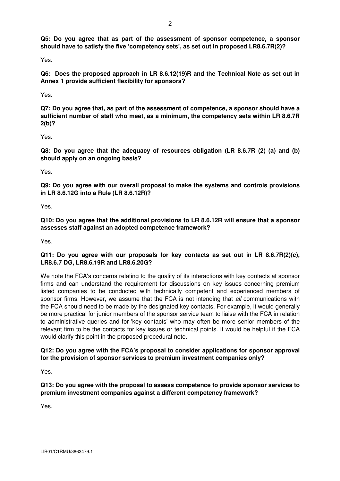Yes.

**Q6: Does the proposed approach in LR 8.6.12(19)R and the Technical Note as set out in Annex 1 provide sufficient flexibility for sponsors?** 

Yes.

**Q7: Do you agree that, as part of the assessment of competence, a sponsor should have a sufficient number of staff who meet, as a minimum, the competency sets within LR 8.6.7R 2(b)?** 

Yes.

**Q8: Do you agree that the adequacy of resources obligation (LR 8.6.7R (2) (a) and (b) should apply on an ongoing basis?** 

Yes.

**Q9: Do you agree with our overall proposal to make the systems and controls provisions in LR 8.6.12G into a Rule (LR 8.6.12R)?** 

Yes.

**Q10: Do you agree that the additional provisions to LR 8.6.12R will ensure that a sponsor assesses staff against an adopted competence framework?** 

Yes.

# **Q11: Do you agree with our proposals for key contacts as set out in LR 8.6.7R(2)(c), LR8.6.7 DG, LR8.6.19R and LR8.6.20G?**

We note the FCA's concerns relating to the quality of its interactions with key contacts at sponsor firms and can understand the requirement for discussions on key issues concerning premium listed companies to be conducted with technically competent and experienced members of sponsor firms. However, we assume that the FCA is not intending that all communications with the FCA should need to be made by the designated key contacts. For example, it would generally be more practical for junior members of the sponsor service team to liaise with the FCA in relation to administrative queries and for 'key contacts' who may often be more senior members of the relevant firm to be the contacts for key issues or technical points. It would be helpful if the FCA would clarify this point in the proposed procedural note.

# **Q12: Do you agree with the FCA's proposal to consider applications for sponsor approval for the provision of sponsor services to premium investment companies only?**

Yes.

**Q13: Do you agree with the proposal to assess competence to provide sponsor services to premium investment companies against a different competency framework?** 

Yes.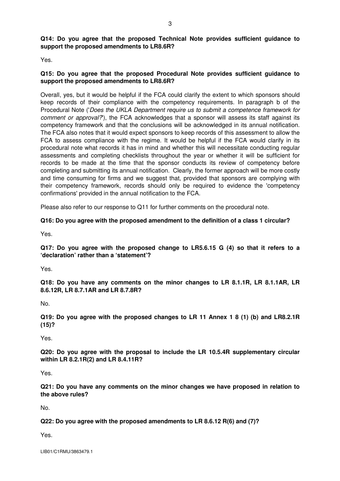Yes.

# **Q15: Do you agree that the proposed Procedural Note provides sufficient guidance to support the proposed amendments to LR8.6R?**

Overall, yes, but it would be helpful if the FCA could clarify the extent to which sponsors should keep records of their compliance with the competency requirements. In paragraph b of the Procedural Note ('Does the UKLA Department require us to submit a competence framework for comment or approval?), the FCA acknowledges that a sponsor will assess its staff against its competency framework and that the conclusions will be acknowledged in its annual notification. The FCA also notes that it would expect sponsors to keep records of this assessment to allow the FCA to assess compliance with the regime. It would be helpful if the FCA would clarify in its procedural note what records it has in mind and whether this will necessitate conducting regular assessments and completing checklists throughout the year or whether it will be sufficient for records to be made at the time that the sponsor conducts its review of competency before completing and submitting its annual notification. Clearly, the former approach will be more costly and time consuming for firms and we suggest that, provided that sponsors are complying with their competency framework, records should only be required to evidence the 'competency confirmations' provided in the annual notification to the FCA.

Please also refer to our response to Q11 for further comments on the procedural note.

# **Q16: Do you agree with the proposed amendment to the definition of a class 1 circular?**

Yes.

**Q17: Do you agree with the proposed change to LR5.6.15 G (4) so that it refers to a 'declaration' rather than a 'statement'?** 

Yes.

**Q18: Do you have any comments on the minor changes to LR 8.1.1R, LR 8.1.1AR, LR 8.6.12R, LR 8.7.1AR and LR 8.7.8R?** 

No.

**Q19: Do you agree with the proposed changes to LR 11 Annex 1 8 (1) (b) and LR8.2.1R (15)?** 

Yes.

**Q20: Do you agree with the proposal to include the LR 10.5.4R supplementary circular within LR 8.2.1R(2) and LR 8.4.11R?** 

Yes.

**Q21: Do you have any comments on the minor changes we have proposed in relation to the above rules?** 

No.

**Q22: Do you agree with the proposed amendments to LR 8.6.12 R(6) and (7)?** 

Yes.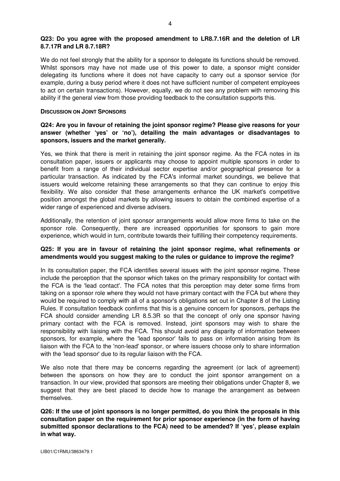## **Q23: Do you agree with the proposed amendment to LR8.7.16R and the deletion of LR 8.7.17R and LR 8.7.18R?**

We do not feel strongly that the ability for a sponsor to delegate its functions should be removed. Whilst sponsors may have not made use of this power to date, a sponsor might consider delegating its functions where it does not have capacity to carry out a sponsor service (for example, during a busy period where it does not have sufficient number of competent employees to act on certain transactions). However, equally, we do not see any problem with removing this ability if the general view from those providing feedback to the consultation supports this.

#### **DISCUSSION ON JOINT SPONSORS**

# **Q24: Are you in favour of retaining the joint sponsor regime? Please give reasons for your answer (whether 'yes' or 'no'), detailing the main advantages or disadvantages to sponsors, issuers and the market generally.**

Yes, we think that there is merit in retaining the joint sponsor regime. As the FCA notes in its consultation paper, issuers or applicants may choose to appoint multiple sponsors in order to benefit from a range of their individual sector expertise and/or geographical presence for a particular transaction. As indicated by the FCA's informal market soundings, we believe that issuers would welcome retaining these arrangements so that they can continue to enjoy this flexibility. We also consider that these arrangements enhance the UK market's competitive position amongst the global markets by allowing issuers to obtain the combined expertise of a wider range of experienced and diverse advisers.

Additionally, the retention of joint sponsor arrangements would allow more firms to take on the sponsor role. Consequently, there are increased opportunities for sponsors to gain more experience, which would in turn, contribute towards their fulfilling their competency requirements.

# **Q25: If you are in favour of retaining the joint sponsor regime, what refinements or amendments would you suggest making to the rules or guidance to improve the regime?**

In its consultation paper, the FCA identifies several issues with the joint sponsor regime. These include the perception that the sponsor which takes on the primary responsibility for contact with the FCA is the 'lead contact'. The FCA notes that this perception may deter some firms from taking on a sponsor role where they would not have primary contact with the FCA but where they would be required to comply with all of a sponsor's obligations set out in Chapter 8 of the Listing Rules. If consultation feedback confirms that this is a genuine concern for sponsors, perhaps the FCA should consider amending LR 8.5.3R so that the concept of only one sponsor having primary contact with the FCA is removed. Instead, joint sponsors may wish to share the responsibility with liaising with the FCA. This should avoid any disparity of information between sponsors, for example, where the 'lead sponsor' fails to pass on information arising from its liaison with the FCA to the 'non-lead' sponsor, or where issuers choose only to share information with the 'lead sponsor' due to its regular liaison with the FCA.

We also note that there may be concerns regarding the agreement (or lack of agreement) between the sponsors on how they are to conduct the joint sponsor arrangement on a transaction. In our view, provided that sponsors are meeting their obligations under Chapter 8, we suggest that they are best placed to decide how to manage the arrangement as between themselves.

**Q26: If the use of joint sponsors is no longer permitted, do you think the proposals in this consultation paper on the requirement for prior sponsor experience (in the form of having submitted sponsor declarations to the FCA) need to be amended? If 'yes', please explain in what way.**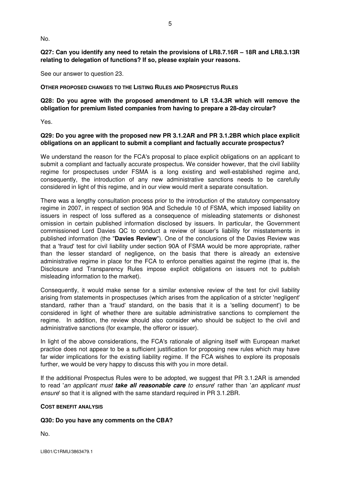No.

**Q27: Can you identify any need to retain the provisions of LR8.7.16R – 18R and LR8.3.13R relating to delegation of functions? If so, please explain your reasons.** 

See our answer to question 23.

#### **OTHER PROPOSED CHANGES TO THE LISTING RULES AND PROSPECTUS RULES**

# **Q28: Do you agree with the proposed amendment to LR 13.4.3R which will remove the obligation for premium listed companies from having to prepare a 28-day circular?**

Yes.

# **Q29: Do you agree with the proposed new PR 3.1.2AR and PR 3.1.2BR which place explicit obligations on an applicant to submit a compliant and factually accurate prospectus?**

We understand the reason for the FCA's proposal to place explicit obligations on an applicant to submit a compliant and factually accurate prospectus. We consider however, that the civil liability regime for prospectuses under FSMA is a long existing and well-established regime and, consequently, the introduction of any new administrative sanctions needs to be carefully considered in light of this regime, and in our view would merit a separate consultation.

There was a lengthy consultation process prior to the introduction of the statutory compensatory regime in 2007, in respect of section 90A and Schedule 10 of FSMA, which imposed liability on issuers in respect of loss suffered as a consequence of misleading statements or dishonest omission in certain published information disclosed by issuers. In particular, the Government commissioned Lord Davies QC to conduct a review of issuer's liability for misstatements in published information (the "**Davies Review**"). One of the conclusions of the Davies Review was that a 'fraud' test for civil liability under section 90A of FSMA would be more appropriate, rather than the lesser standard of negligence, on the basis that there is already an extensive administrative regime in place for the FCA to enforce penalties against the regime (that is, the Disclosure and Transparency Rules impose explicit obligations on issuers not to publish misleading information to the market).

Consequently, it would make sense for a similar extensive review of the test for civil liability arising from statements in prospectuses (which arises from the application of a stricter 'negligent' standard, rather than a 'fraud' standard, on the basis that it is a 'selling document') to be considered in light of whether there are suitable administrative sanctions to complement the regime. In addition, the review should also consider who should be subject to the civil and administrative sanctions (for example, the offeror or issuer).

In light of the above considerations, the FCA's rationale of aligning itself with European market practice does not appear to be a sufficient justification for proposing new rules which may have far wider implications for the existing liability regime. If the FCA wishes to explore its proposals further, we would be very happy to discuss this with you in more detail.

If the additional Prospectus Rules were to be adopted, we suggest that PR 3.1.2AR is amended to read 'an applicant must **take all reasonable care** to ensure' rather than 'an applicant must ensure' so that it is aligned with the same standard required in PR 3.1.2BR.

#### **COST BENEFIT ANALYSIS**

### **Q30: Do you have any comments on the CBA?**

No.